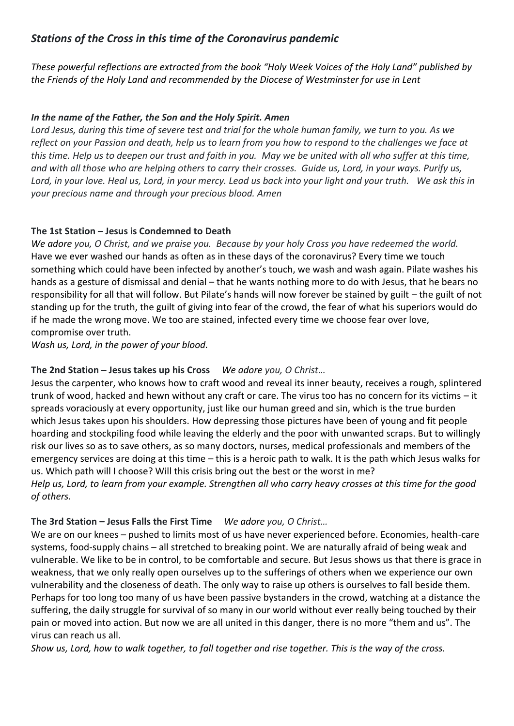# *Stations of the Cross in this time of the Coronavirus pandemic*

*These powerful reflections are extracted from the book "Holy Week Voices of the Holy Land" published by the Friends of the Holy Land and recommended by the Diocese of Westminster for use in Lent*

## *In the name of the Father, the Son and the Holy Spirit. Amen*

*Lord Jesus, during this time of severe test and trial for the whole human family, we turn to you. As we reflect on your Passion and death, help us to learn from you how to respond to the challenges we face at this time. Help us to deepen our trust and faith in you. May we be united with all who suffer at this time, and with all those who are helping others to carry their crosses. Guide us, Lord, in your ways. Purify us, Lord, in your love. Heal us, Lord, in your mercy. Lead us back into your light and your truth. We ask this in your precious name and through your precious blood. Amen*

### **The 1st Station – Jesus is Condemned to Death**

*We adore you, O Christ, and we praise you. Because by your holy Cross you have redeemed the world.* Have we ever washed our hands as often as in these days of the coronavirus? Every time we touch something which could have been infected by another's touch, we wash and wash again. Pilate washes his hands as a gesture of dismissal and denial – that he wants nothing more to do with Jesus, that he bears no responsibility for all that will follow. But Pilate's hands will now forever be stained by guilt – the guilt of not standing up for the truth, the guilt of giving into fear of the crowd, the fear of what his superiors would do if he made the wrong move. We too are stained, infected every time we choose fear over love, compromise over truth.

*Wash us, Lord, in the power of your blood.*

## **The 2nd Station – Jesus takes up his Cross** *We adore you, O Christ…*

Jesus the carpenter, who knows how to craft wood and reveal its inner beauty, receives a rough, splintered trunk of wood, hacked and hewn without any craft or care. The virus too has no concern for its victims – it spreads voraciously at every opportunity, just like our human greed and sin, which is the true burden which Jesus takes upon his shoulders. How depressing those pictures have been of young and fit people hoarding and stockpiling food while leaving the elderly and the poor with unwanted scraps. But to willingly risk our lives so as to save others, as so many doctors, nurses, medical professionals and members of the emergency services are doing at this time – this is a heroic path to walk. It is the path which Jesus walks for us. Which path will I choose? Will this crisis bring out the best or the worst in me? *Help us, Lord, to learn from your example. Strengthen all who carry heavy crosses at this time for the good of others.*

### **The 3rd Station – Jesus Falls the First Time** *We adore you, O Christ…*

We are on our knees – pushed to limits most of us have never experienced before. Economies, health-care systems, food-supply chains – all stretched to breaking point. We are naturally afraid of being weak and vulnerable. We like to be in control, to be comfortable and secure. But Jesus shows us that there is grace in weakness, that we only really open ourselves up to the sufferings of others when we experience our own vulnerability and the closeness of death. The only way to raise up others is ourselves to fall beside them. Perhaps for too long too many of us have been passive bystanders in the crowd, watching at a distance the suffering, the daily struggle for survival of so many in our world without ever really being touched by their pain or moved into action. But now we are all united in this danger, there is no more "them and us". The virus can reach us all.

*Show us, Lord, how to walk together, to fall together and rise together. This is the way of the cross.*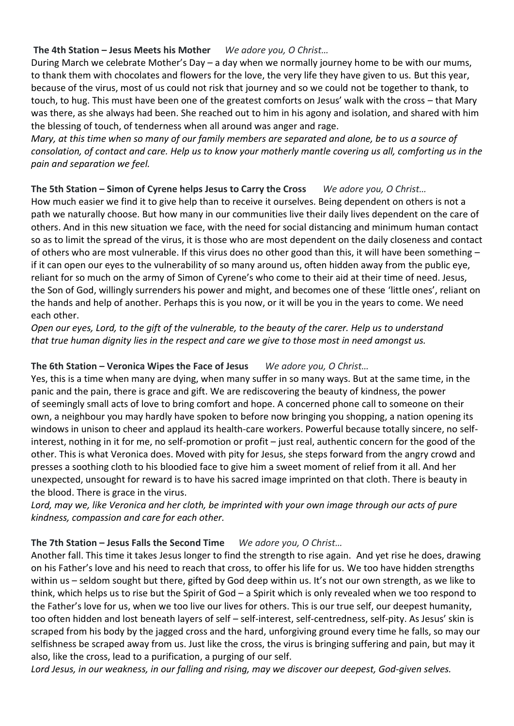## **The 4th Station – Jesus Meets his Mother** *We adore you, O Christ…*

During March we celebrate Mother's Day – a day when we normally journey home to be with our mums, to thank them with chocolates and flowers for the love, the very life they have given to us. But this year, because of the virus, most of us could not risk that journey and so we could not be together to thank, to touch, to hug. This must have been one of the greatest comforts on Jesus' walk with the cross – that Mary was there, as she always had been. She reached out to him in his agony and isolation, and shared with him the blessing of touch, of tenderness when all around was anger and rage.

*Mary, at this time when so many of our family members are separated and alone, be to us a source of consolation, of contact and care. Help us to know your motherly mantle covering us all, comforting us in the pain and separation we feel.*

### **The 5th Station – Simon of Cyrene helps Jesus to Carry the Cross** *We adore you, O Christ…*

How much easier we find it to give help than to receive it ourselves. Being dependent on others is not a path we naturally choose. But how many in our communities live their daily lives dependent on the care of others. And in this new situation we face, with the need for social distancing and minimum human contact so as to limit the spread of the virus, it is those who are most dependent on the daily closeness and contact of others who are most vulnerable. If this virus does no other good than this, it will have been something – if it can open our eyes to the vulnerability of so many around us, often hidden away from the public eye, reliant for so much on the army of Simon of Cyrene's who come to their aid at their time of need. Jesus, the Son of God, willingly surrenders his power and might, and becomes one of these 'little ones', reliant on the hands and help of another. Perhaps this is you now, or it will be you in the years to come. We need each other.

*Open our eyes, Lord, to the gift of the vulnerable, to the beauty of the carer. Help us to understand that true human dignity lies in the respect and care we give to those most in need amongst us.*

## **The 6th Station – Veronica Wipes the Face of Jesus** *We adore you, O Christ…*

Yes, this is a time when many are dying, when many suffer in so many ways. But at the same time, in the panic and the pain, there is grace and gift. We are rediscovering the beauty of kindness, the power of seemingly small acts of love to bring comfort and hope. A concerned phone call to someone on their own, a neighbour you may hardly have spoken to before now bringing you shopping, a nation opening its windows in unison to cheer and applaud its health-care workers. Powerful because totally sincere, no selfinterest, nothing in it for me, no self-promotion or profit – just real, authentic concern for the good of the other. This is what Veronica does. Moved with pity for Jesus, she steps forward from the angry crowd and presses a soothing cloth to his bloodied face to give him a sweet moment of relief from it all. And her unexpected, unsought for reward is to have his sacred image imprinted on that cloth. There is beauty in the blood. There is grace in the virus.

*Lord, may we, like Veronica and her cloth, be imprinted with your own image through our acts of pure kindness, compassion and care for each other.*

### **The 7th Station – Jesus Falls the Second Time** *We adore you, O Christ…*

Another fall. This time it takes Jesus longer to find the strength to rise again. And yet rise he does, drawing on his Father's love and his need to reach that cross, to offer his life for us. We too have hidden strengths within us – seldom sought but there, gifted by God deep within us. It's not our own strength, as we like to think, which helps us to rise but the Spirit of God – a Spirit which is only revealed when we too respond to the Father's love for us, when we too live our lives for others. This is our true self, our deepest humanity, too often hidden and lost beneath layers of self – self-interest, self-centredness, self-pity. As Jesus' skin is scraped from his body by the jagged cross and the hard, unforgiving ground every time he falls, so may our selfishness be scraped away from us. Just like the cross, the virus is bringing suffering and pain, but may it also, like the cross, lead to a purification, a purging of our self.

*Lord Jesus, in our weakness, in our falling and rising, may we discover our deepest, God-given selves.*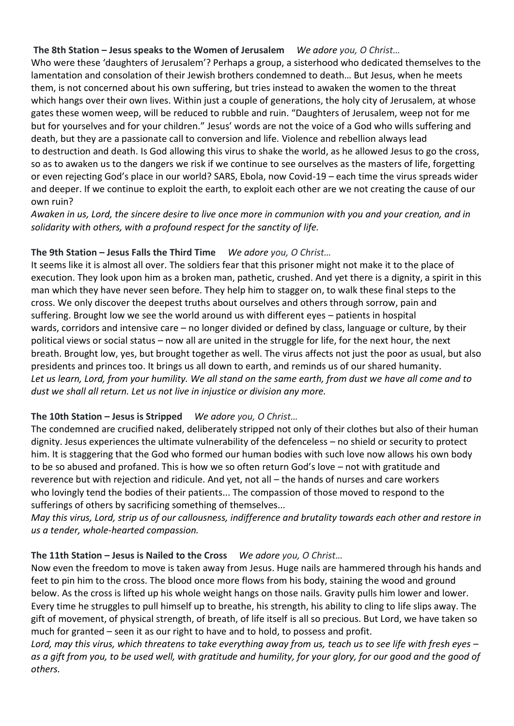#### **The 8th Station – Jesus speaks to the Women of Jerusalem** *We adore you, O Christ…*

Who were these 'daughters of Jerusalem'? Perhaps a group, a sisterhood who dedicated themselves to the lamentation and consolation of their Jewish brothers condemned to death… But Jesus, when he meets them, is not concerned about his own suffering, but tries instead to awaken the women to the threat which hangs over their own lives. Within just a couple of generations, the holy city of Jerusalem, at whose gates these women weep, will be reduced to rubble and ruin. "Daughters of Jerusalem, weep not for me but for yourselves and for your children." Jesus' words are not the voice of a God who wills suffering and death, but they are a passionate call to conversion and life. Violence and rebellion always lead to destruction and death. Is God allowing this virus to shake the world, as he allowed Jesus to go the cross, so as to awaken us to the dangers we risk if we continue to see ourselves as the masters of life, forgetting or even rejecting God's place in our world? SARS, Ebola, now Covid-19 – each time the virus spreads wider and deeper. If we continue to exploit the earth, to exploit each other are we not creating the cause of our own ruin?

*Awaken in us, Lord, the sincere desire to live once more in communion with you and your creation, and in solidarity with others, with a profound respect for the sanctity of life.*

### **The 9th Station – Jesus Falls the Third Time** *We adore you, O Christ…*

It seems like it is almost all over. The soldiers fear that this prisoner might not make it to the place of execution. They look upon him as a broken man, pathetic, crushed. And yet there is a dignity, a spirit in this man which they have never seen before. They help him to stagger on, to walk these final steps to the cross. We only discover the deepest truths about ourselves and others through sorrow, pain and suffering. Brought low we see the world around us with different eyes – patients in hospital wards, corridors and intensive care – no longer divided or defined by class, language or culture, by their political views or social status – now all are united in the struggle for life, for the next hour, the next breath. Brought low, yes, but brought together as well. The virus affects not just the poor as usual, but also presidents and princes too. It brings us all down to earth, and reminds us of our shared humanity. *Let us learn, Lord, from your humility. We all stand on the same earth, from dust we have all come and to dust we shall all return. Let us not live in injustice or division any more.*

### **The 10th Station – Jesus is Stripped** *We adore you, O Christ…*

The condemned are crucified naked, deliberately stripped not only of their clothes but also of their human dignity. Jesus experiences the ultimate vulnerability of the defenceless – no shield or security to protect him. It is staggering that the God who formed our human bodies with such love now allows his own body to be so abused and profaned. This is how we so often return God's love – not with gratitude and reverence but with rejection and ridicule. And yet, not all – the hands of nurses and care workers who lovingly tend the bodies of their patients... The compassion of those moved to respond to the sufferings of others by sacrificing something of themselves...

*May this virus, Lord, strip us of our callousness, indifference and brutality towards each other and restore in us a tender, whole-hearted compassion.*

### **The 11th Station – Jesus is Nailed to the Cross** *We adore you, O Christ…*

Now even the freedom to move is taken away from Jesus. Huge nails are hammered through his hands and feet to pin him to the cross. The blood once more flows from his body, staining the wood and ground below. As the cross is lifted up his whole weight hangs on those nails. Gravity pulls him lower and lower. Every time he struggles to pull himself up to breathe, his strength, his ability to cling to life slips away. The gift of movement, of physical strength, of breath, of life itself is all so precious. But Lord, we have taken so much for granted – seen it as our right to have and to hold, to possess and profit.

*Lord, may this virus, which threatens to take everything away from us, teach us to see life with fresh eyes – as a gift from you, to be used well, with gratitude and humility, for your glory, for our good and the good of others.*